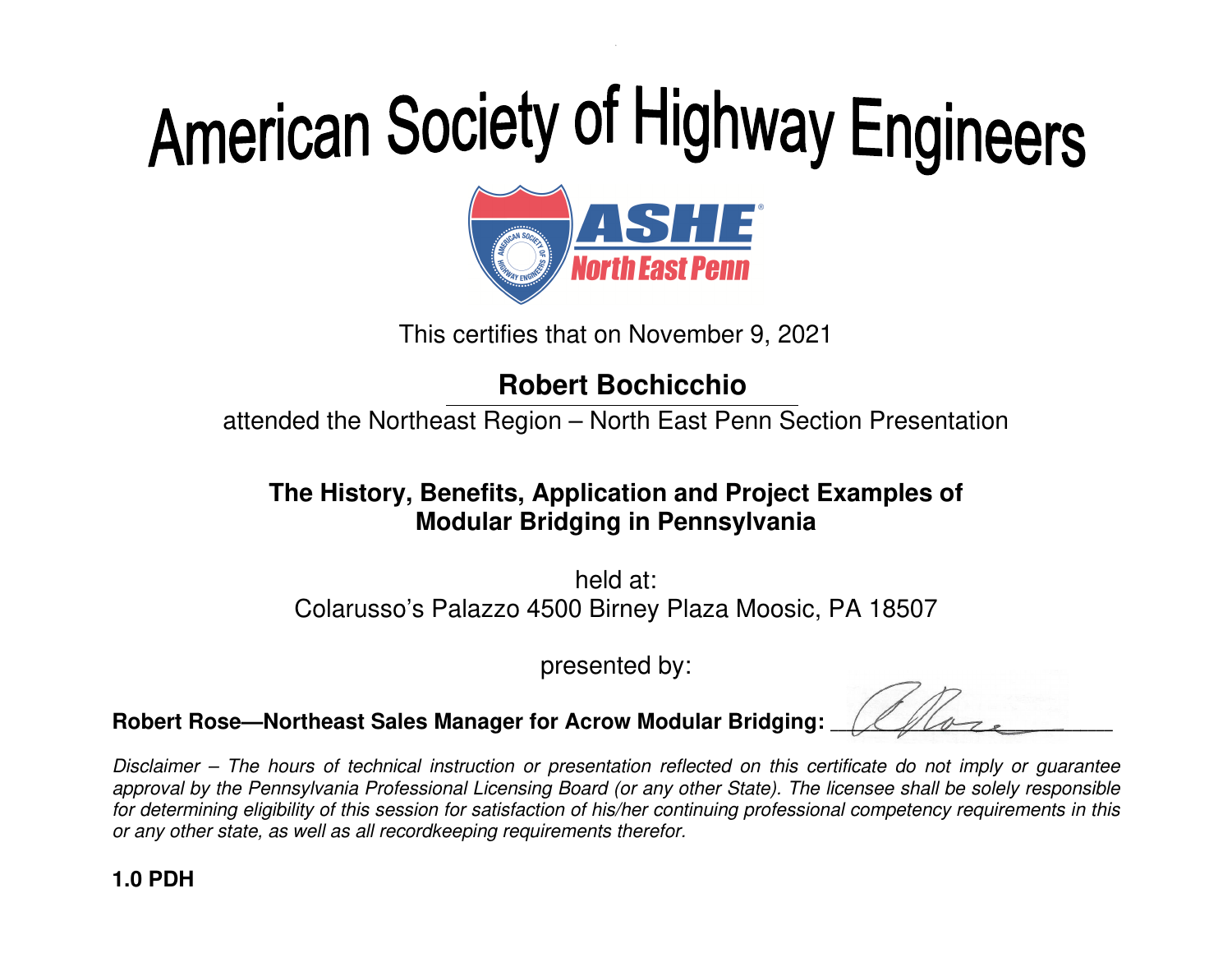

This certifies that on November 9, 2021

## **Robert Bochicchio**

attended the Northeast Region – North East Penn Section Presentation

### **The History, Benefits, Application and Project Examples of Modular Bridging in Pennsylvania**

held at: Colarusso's Palazzo 4500 Birney Plaza Moosic, PA 18507

presented by:

**Robert Rose—Northeast Sales Manager for Acrow Modular Bridging:** \_\_\_\_\_\_\_\_\_\_\_\_\_\_\_\_\_\_\_\_\_\_\_\_\_\_\_\_\_\_\_\_\_\_\_

Disclaimer – The hours of technical instruction or presentation reflected on this certificate do not imply or guarantee approval by the Pennsylvania Professional Licensing Board (or any other State). The licensee shall be solely responsible for determining eligibility of this session for satisfaction of his/her continuing professional competency requirements in this or any other state, as well as all recordkeeping requirements therefor.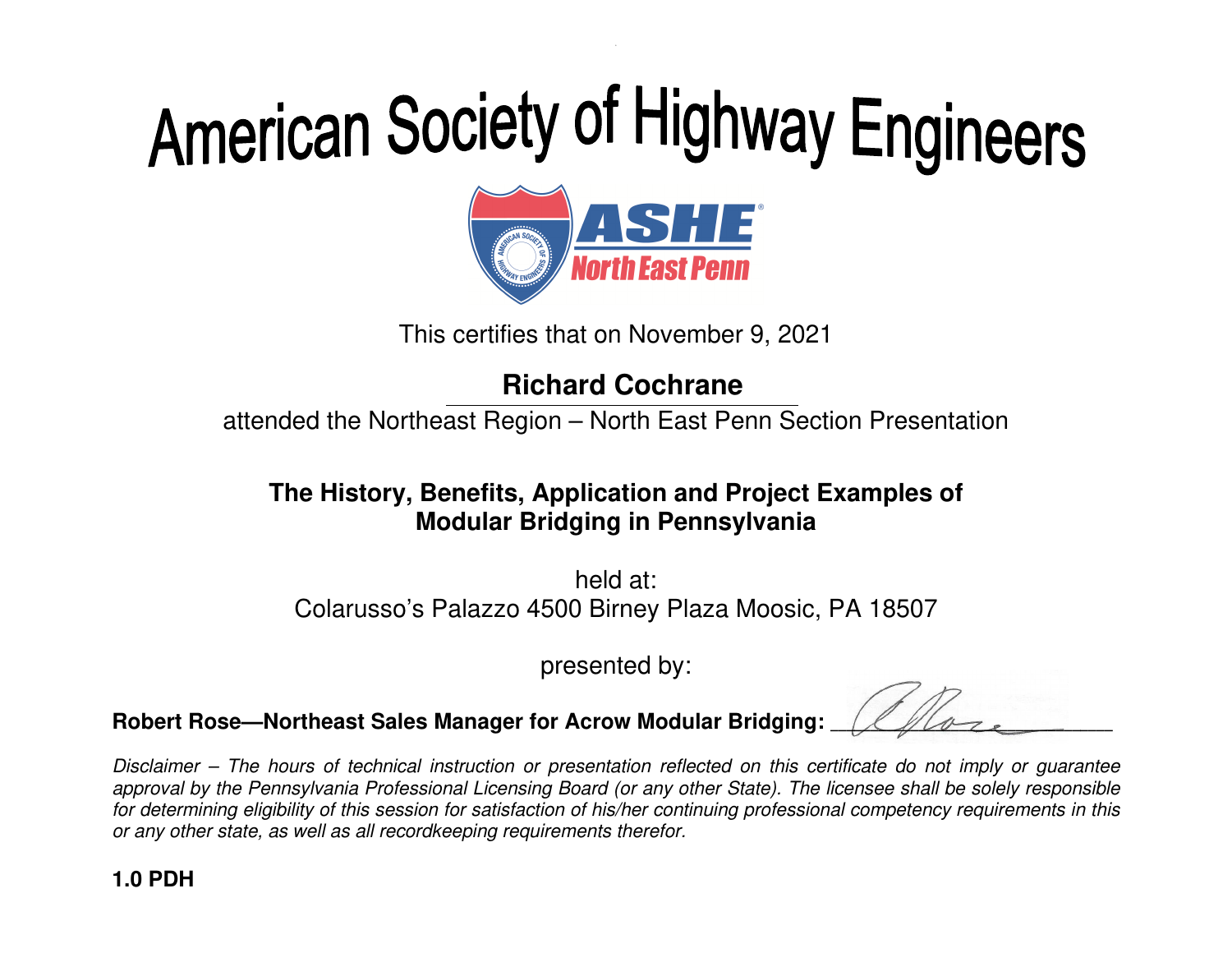

This certifies that on November 9, 2021

## **Richard Cochrane**

attended the Northeast Region – North East Penn Section Presentation

### **The History, Benefits, Application and Project Examples of Modular Bridging in Pennsylvania**

held at: Colarusso's Palazzo 4500 Birney Plaza Moosic, PA 18507

presented by:

**Robert Rose—Northeast Sales Manager for Acrow Modular Bridging:** \_\_\_\_\_\_\_\_\_\_\_\_\_\_\_\_\_\_\_\_\_\_\_\_\_\_\_\_\_\_\_\_\_\_\_

Disclaimer – The hours of technical instruction or presentation reflected on this certificate do not imply or guarantee approval by the Pennsylvania Professional Licensing Board (or any other State). The licensee shall be solely responsible for determining eligibility of this session for satisfaction of his/her continuing professional competency requirements in this or any other state, as well as all recordkeeping requirements therefor.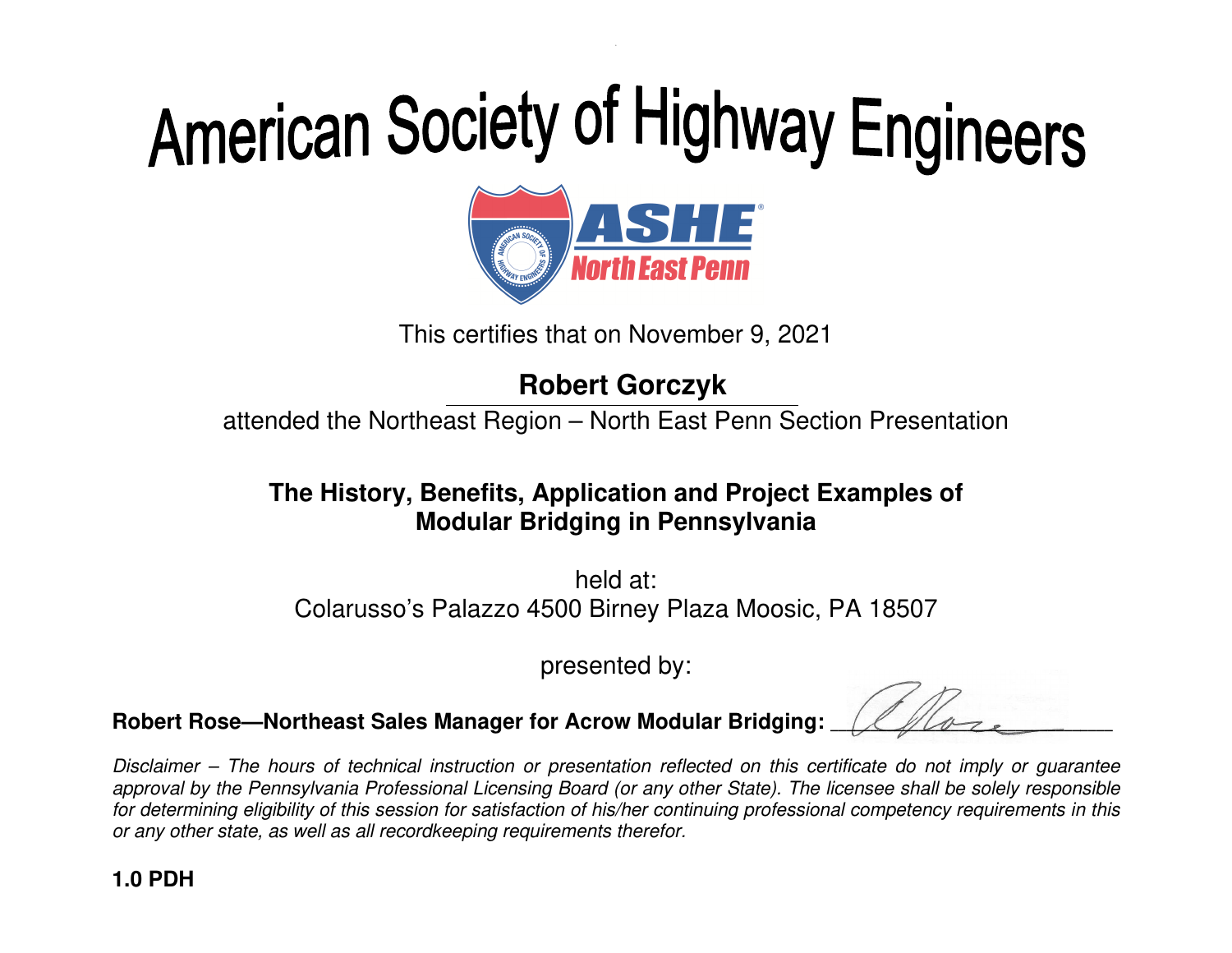

This certifies that on November 9, 2021

## **Robert Gorczyk**

attended the Northeast Region – North East Penn Section Presentation

### **The History, Benefits, Application and Project Examples of Modular Bridging in Pennsylvania**

held at: Colarusso's Palazzo 4500 Birney Plaza Moosic, PA 18507

presented by:

**Robert Rose—Northeast Sales Manager for Acrow Modular Bridging:** \_\_\_\_\_\_\_\_\_\_\_\_\_\_\_\_\_\_\_\_\_\_\_\_\_\_\_\_\_\_\_\_\_\_\_

Disclaimer – The hours of technical instruction or presentation reflected on this certificate do not imply or guarantee approval by the Pennsylvania Professional Licensing Board (or any other State). The licensee shall be solely responsible for determining eligibility of this session for satisfaction of his/her continuing professional competency requirements in this or any other state, as well as all recordkeeping requirements therefor.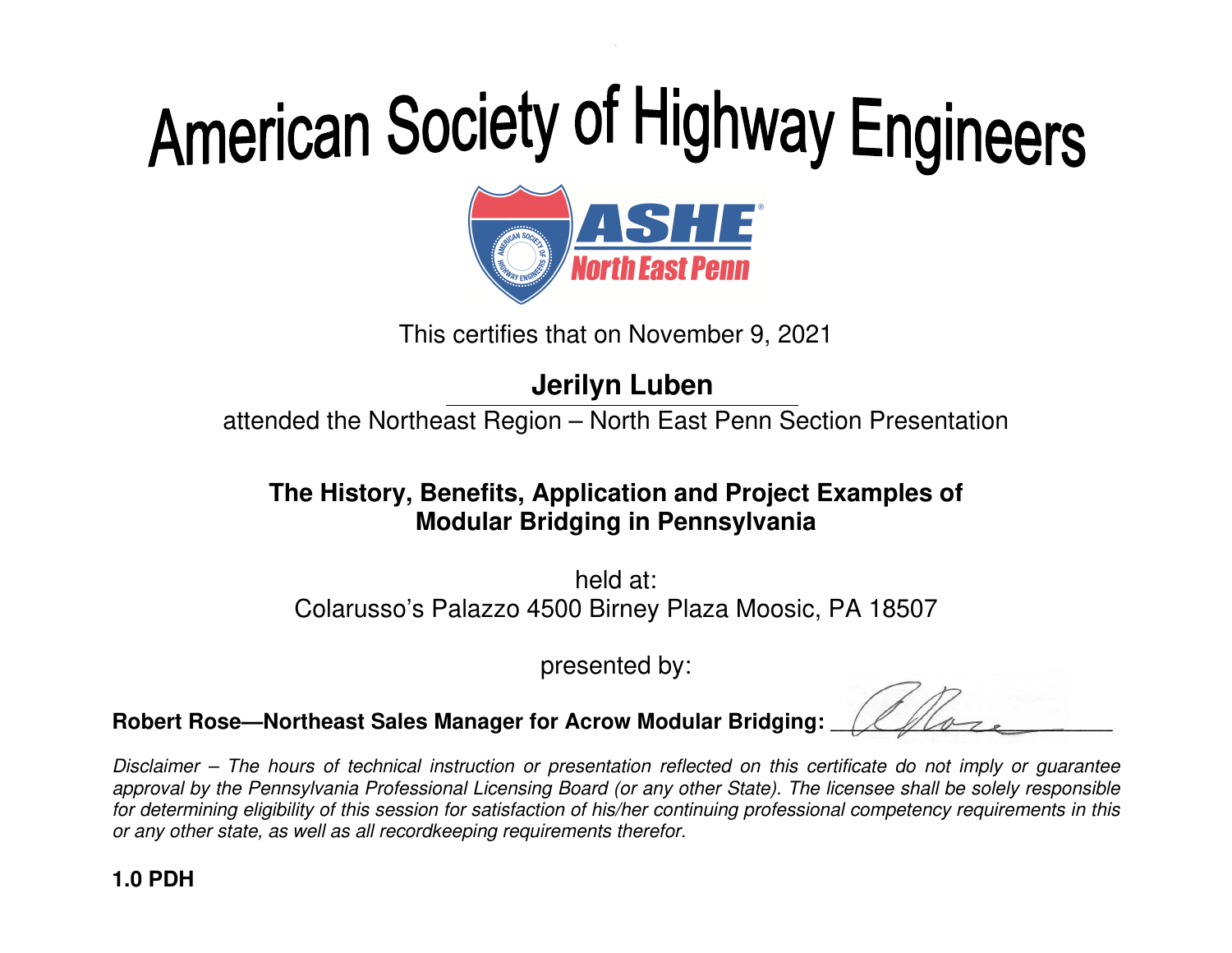

This certifies that on November 9, 2021

### **Jerilyn Luben**

attended the Northeast Region – North East Penn Section Presentation

#### **The History, Benefits, Application and Project Examples of Modular Bridging in Pennsylvania**

held at: Colarusso's Palazzo 4500 Birney Plaza Moosic, PA 18507

presented by:

**Robert Rose—Northeast Sales Manager for Acrow Modular Bridging:** \_\_\_\_\_\_\_\_\_\_\_\_\_\_\_\_\_\_\_\_\_\_\_\_\_\_\_\_\_\_\_\_\_\_\_

Disclaimer – The hours of technical instruction or presentation reflected on this certificate do not imply or guarantee approval by the Pennsylvania Professional Licensing Board (or any other State). The licensee shall be solely responsible for determining eligibility of this session for satisfaction of his/her continuing professional competency requirements in this or any other state, as well as all recordkeeping requirements therefor.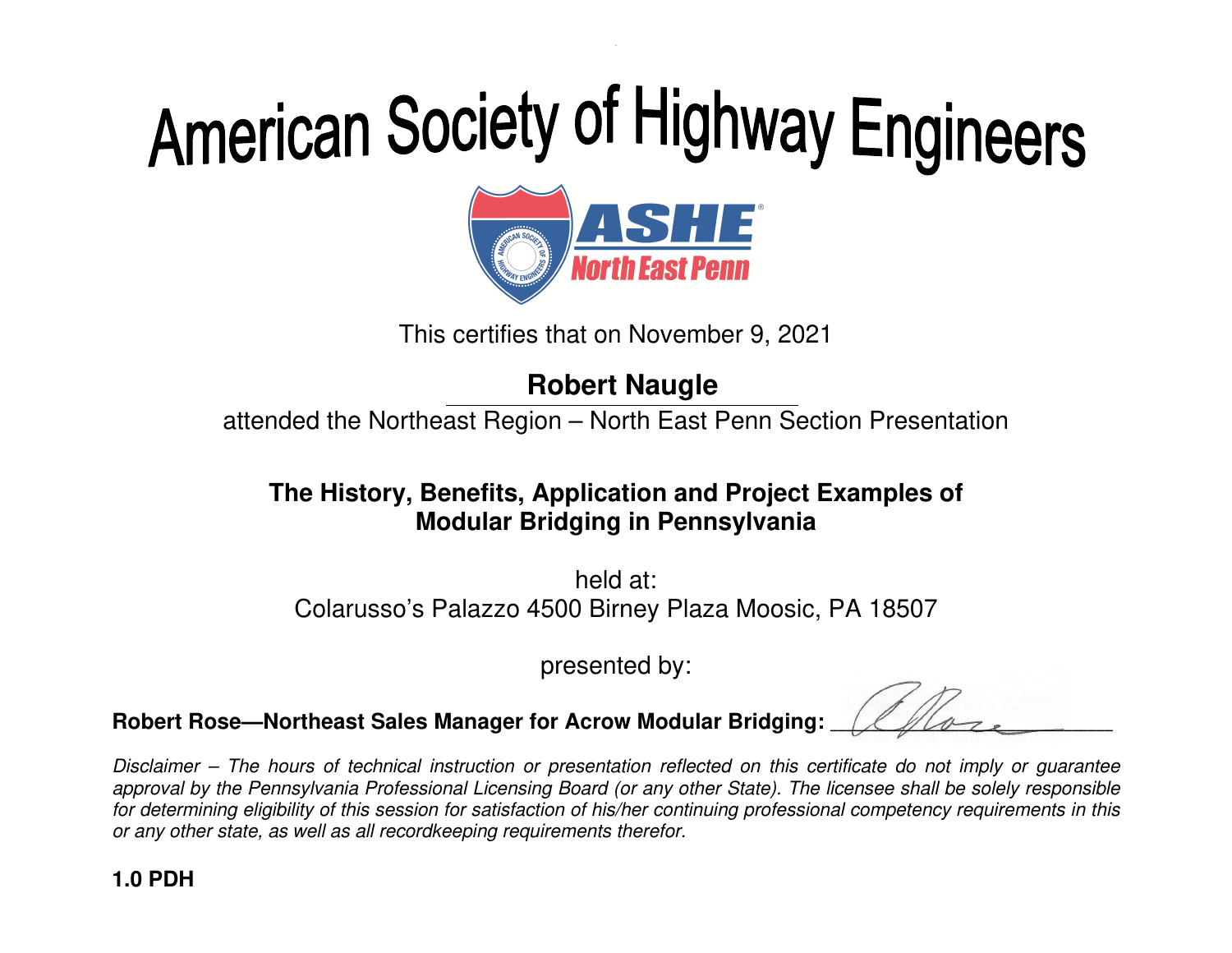

This certifies that on November 9, 2021

## **Robert Naugle**

attended the Northeast Region – North East Penn Section Presentation

### **The History, Benefits, Application and Project Examples of Modular Bridging in Pennsylvania**

held at: Colarusso's Palazzo 4500 Birney Plaza Moosic, PA 18507

presented by:

**Robert Rose—Northeast Sales Manager for Acrow Modular Bridging:** \_\_\_\_\_\_\_\_\_\_\_\_\_\_\_\_\_\_\_\_\_\_\_\_\_\_\_\_\_\_\_\_\_\_\_

Disclaimer – The hours of technical instruction or presentation reflected on this certificate do not imply or guarantee approval by the Pennsylvania Professional Licensing Board (or any other State). The licensee shall be solely responsible for determining eligibility of this session for satisfaction of his/her continuing professional competency requirements in this or any other state, as well as all recordkeeping requirements therefor.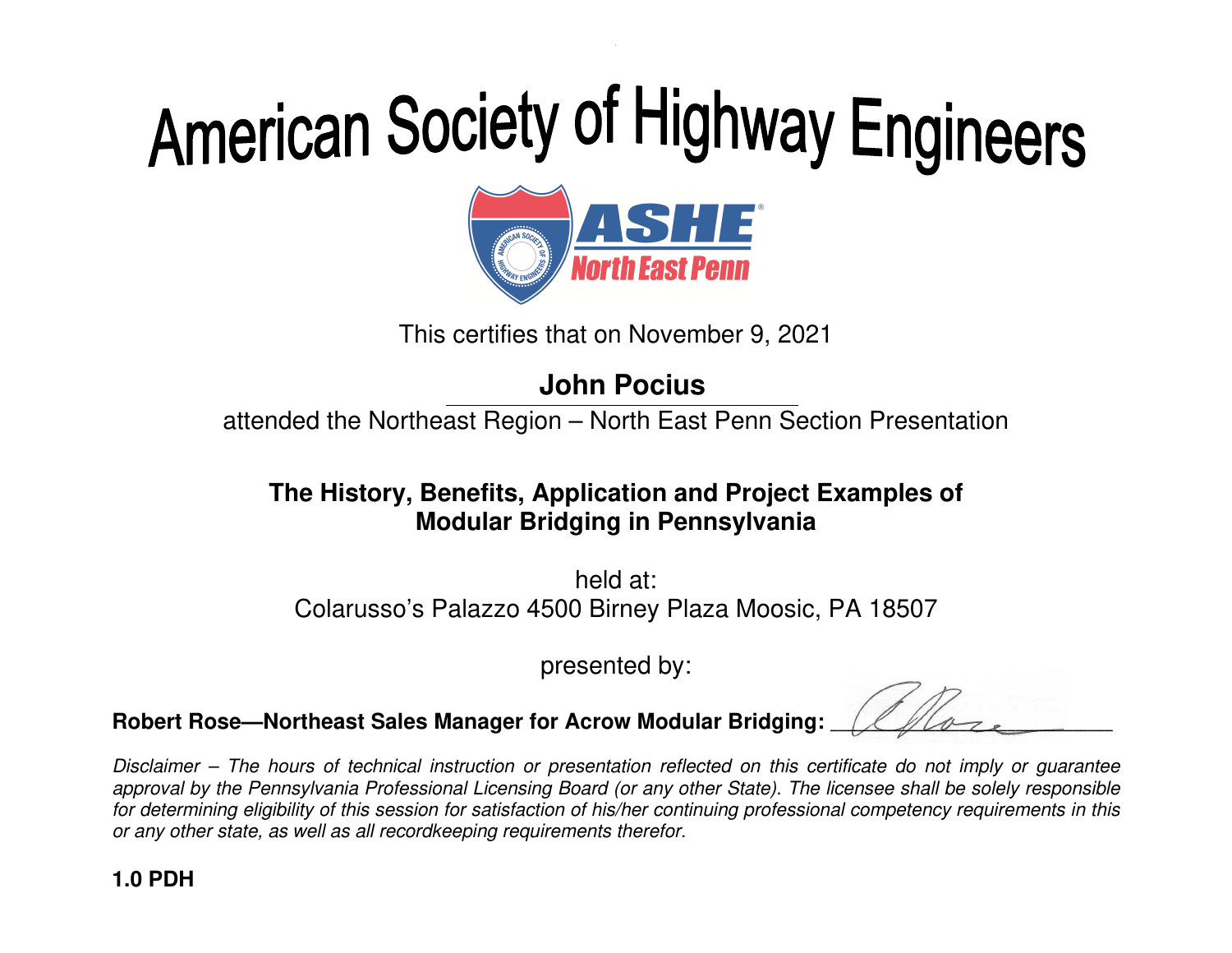

This certifies that on November 9, 2021

### **John Pocius**

attended the Northeast Region – North East Penn Section Presentation

#### **The History, Benefits, Application and Project Examples of Modular Bridging in Pennsylvania**

held at: Colarusso's Palazzo 4500 Birney Plaza Moosic, PA 18507

presented by:

**Robert Rose—Northeast Sales Manager for Acrow Modular Bridging:** \_\_\_\_\_\_\_\_\_\_\_\_\_\_\_\_\_\_\_\_\_\_\_\_\_\_\_\_\_\_\_\_\_\_\_

Disclaimer – The hours of technical instruction or presentation reflected on this certificate do not imply or guarantee approval by the Pennsylvania Professional Licensing Board (or any other State). The licensee shall be solely responsible for determining eligibility of this session for satisfaction of his/her continuing professional competency requirements in this or any other state, as well as all recordkeeping requirements therefor.